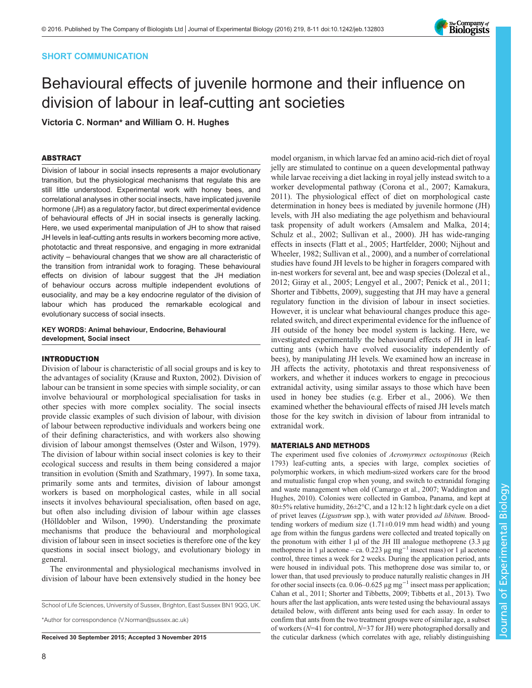# SHORT COMMUNICATION

# Behavioural effects of juvenile hormone and their influence on division of labour in leaf-cutting ant societies

Victoria C. Norman\* and William O. H. Hughes

## ABSTRACT

Division of labour in social insects represents a major evolutionary transition, but the physiological mechanisms that regulate this are still little understood. Experimental work with honey bees, and correlational analyses in other social insects, have implicated juvenile hormone (JH) as a regulatory factor, but direct experimental evidence of behavioural effects of JH in social insects is generally lacking. Here, we used experimental manipulation of JH to show that raised JH levels in leaf-cutting ants results in workers becoming more active, phototactic and threat responsive, and engaging in more extranidal activity – behavioural changes that we show are all characteristic of the transition from intranidal work to foraging. These behavioural effects on division of labour suggest that the JH mediation of behaviour occurs across multiple independent evolutions of eusociality, and may be a key endocrine regulator of the division of labour which has produced the remarkable ecological and evolutionary success of social insects.

KEY WORDS: Animal behaviour, Endocrine, Behavioural development, Social insect

# INTRODUCTION

Division of labour is characteristic of all social groups and is key to the advantages of sociality [\(Krause and Ruxton, 2002\)](#page-3-0). Division of labour can be transient in some species with simple sociality, or can involve behavioural or morphological specialisation for tasks in other species with more complex sociality. The social insects provide classic examples of such division of labour, with division of labour between reproductive individuals and workers being one of their defining characteristics, and with workers also showing division of labour amongst themselves ([Oster and Wilson, 1979\)](#page-3-0). The division of labour within social insect colonies is key to their ecological success and results in them being considered a major transition in evolution ([Smith and Szathmary, 1997](#page-3-0)). In some taxa, primarily some ants and termites, division of labour amongst workers is based on morphological castes, while in all social insects it involves behavioural specialisation, often based on age, but often also including division of labour within age classes [\(Hölldobler and Wilson, 1990\)](#page-3-0). Understanding the proximate mechanisms that produce the behavioural and morphological division of labour seen in insect societies is therefore one of the key questions in social insect biology, and evolutionary biology in general.

The environmental and physiological mechanisms involved in division of labour have been extensively studied in the honey bee

School of Life Sciences, University of Sussex, Brighton, East Sussex BN1 9QG, UK.

\*Author for correspondence [\(V.Norman@sussex.ac.uk\)](mailto:V.Norman@sussex.ac.uk)

model organism, in which larvae fed an amino acid-rich diet of royal jelly are stimulated to continue on a queen developmental pathway while larvae receiving a diet lacking in royal jelly instead switch to a worker developmental pathway ([Corona et al., 2007](#page-3-0); [Kamakura,](#page-3-0) [2011\)](#page-3-0). The physiological effect of diet on morphological caste determination in honey bees is mediated by juvenile hormone (JH) levels, with JH also mediating the age polyethism and behavioural task propensity of adult workers [\(Amsalem and Malka, 2014](#page-3-0); [Schulz et al., 2002; Sullivan et al., 2000\)](#page-3-0). JH has wide-ranging effects in insects ([Flatt et al., 2005; Hartfelder, 2000](#page-3-0); [Nijhout and](#page-3-0) [Wheeler, 1982](#page-3-0); [Sullivan et al., 2000\)](#page-3-0), and a number of correlational studies have found JH levels to be higher in foragers compared with in-nest workers for several ant, bee and wasp species ([Dolezal et al.,](#page-3-0) [2012; Giray et al., 2005; Lengyel et al., 2007; Penick et al., 2011](#page-3-0); [Shorter and Tibbetts, 2009](#page-3-0)), suggesting that JH may have a general regulatory function in the division of labour in insect societies. However, it is unclear what behavioural changes produce this agerelated switch, and direct experimental evidence for the influence of JH outside of the honey bee model system is lacking. Here, we investigated experimentally the behavioural effects of JH in leafcutting ants (which have evolved eusociality independently of bees), by manipulating JH levels. We examined how an increase in JH affects the activity, phototaxis and threat responsiveness of workers, and whether it induces workers to engage in precocious extranidal activity, using similar assays to those which have been used in honey bee studies (e.g. [Erber et al., 2006](#page-3-0)). We then examined whether the behavioural effects of raised JH levels match those for the key switch in division of labour from intranidal to extranidal work.

## MATERIALS AND METHODS

The experiment used five colonies of Acromyrmex octospinosus (Reich 1793) leaf-cutting ants, a species with large, complex societies of polymorphic workers, in which medium-sized workers care for the brood and mutualistic fungal crop when young, and switch to extranidal foraging and waste management when old ([Camargo et al., 2007; Waddington and](#page-3-0) [Hughes, 2010\)](#page-3-0). Colonies were collected in Gamboa, Panama, and kept at 80±5% relative humidity, 26±2°C, and a 12 h:12 h light:dark cycle on a diet of privet leaves (Ligustrum spp.), with water provided ad libitum. Broodtending workers of medium size (1.71±0.019 mm head width) and young age from within the fungus gardens were collected and treated topically on the pronotum with either 1  $\mu$ l of the JH III analogue methoprene (3.3  $\mu$ g methoprene in 1 µl acetone – ca. 0.223 µg mg−<sup>1</sup> insect mass) or 1 µl acetone control, three times a week for 2 weeks. During the application period, ants were housed in individual pots. This methoprene dose was similar to, or lower than, that used previously to produce naturally realistic changes in JH for other social insects (ca. 0.06–0.625 µg mg−<sup>1</sup> insect mass per application; [Cahan et al., 2011; Shorter and Tibbetts, 2009](#page-3-0); [Tibbetts et al., 2013](#page-3-0)). Two hours after the last application, ants were tested using the behavioural assays detailed below, with different ants being used for each assay. In order to confirm that ants from the two treatment groups were of similar age, a subset of workers ( $N=41$  for control,  $N=37$  for JH) were photographed dorsally and Received 30 September 2015; Accepted 3 November 2015 the cuticular darkness (which correlates with age, reliably distinguishing

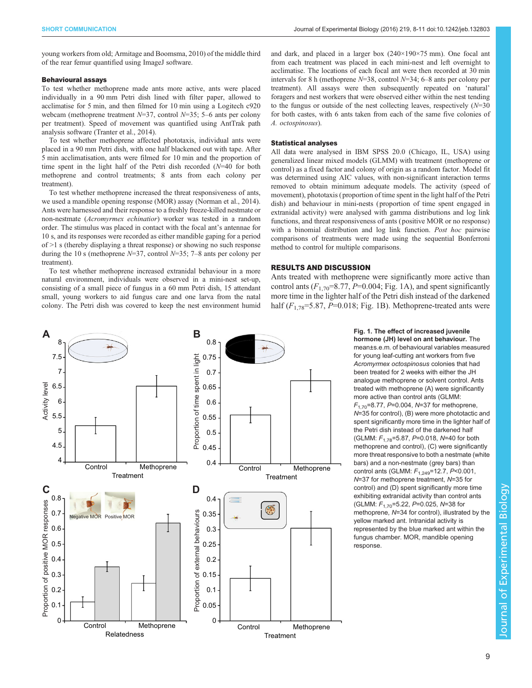<span id="page-1-0"></span>young workers from old; [Armitage and Boomsma, 2010](#page-3-0)) of the middle third of the rear femur quantified using ImageJ software.

#### Behavioural assays

To test whether methoprene made ants more active, ants were placed individually in a 90 mm Petri dish lined with filter paper, allowed to acclimatise for 5 min, and then filmed for 10 min using a Logitech c920 webcam (methoprene treatment  $N=37$ , control  $N=35$ ; 5–6 ants per colony per treatment). Speed of movement was quantified using AntTrak path analysis software ([Tranter et al., 2014](#page-3-0)).

To test whether methoprene affected phototaxis, individual ants were placed in a 90 mm Petri dish, with one half blackened out with tape. After 5 min acclimatisation, ants were filmed for 10 min and the proportion of time spent in the light half of the Petri dish recorded (N=40 for both methoprene and control treatments; 8 ants from each colony per treatment).

To test whether methoprene increased the threat responsiveness of ants, we used a mandible opening response (MOR) assay ([Norman et al., 2014](#page-3-0)). Ants were harnessed and their response to a freshly freeze-killed nestmate or non-nestmate (Acromyrmex echinatior) worker was tested in a random order. The stimulus was placed in contact with the focal ant's antennae for 10 s, and its responses were recorded as either mandible gaping for a period of >1 s (thereby displaying a threat response) or showing no such response during the 10 s (methoprene  $N=37$ , control  $N=35$ ; 7–8 ants per colony per treatment).

To test whether methoprene increased extranidal behaviour in a more natural environment, individuals were observed in a mini-nest set-up, consisting of a small piece of fungus in a 60 mm Petri dish, 15 attendant small, young workers to aid fungus care and one larva from the natal colony. The Petri dish was covered to keep the nest environment humid

and dark, and placed in a larger box (240×190×75 mm). One focal ant from each treatment was placed in each mini-nest and left overnight to acclimatise. The locations of each focal ant were then recorded at 30 min intervals for 8 h (methoprene  $N=38$ , control  $N=34$ ; 6–8 ants per colony per treatment). All assays were then subsequently repeated on 'natural' foragers and nest workers that were observed either within the nest tending to the fungus or outside of the nest collecting leaves, respectively  $(N=30)$ for both castes, with 6 ants taken from each of the same five colonies of A. octospinosus).

## Statistical analyses

All data were analysed in IBM SPSS 20.0 (Chicago, IL, USA) using generalized linear mixed models (GLMM) with treatment (methoprene or control) as a fixed factor and colony of origin as a random factor. Model fit was determined using AIC values, with non-significant interaction terms removed to obtain minimum adequate models. The activity (speed of movement), phototaxis ( proportion of time spent in the light half of the Petri dish) and behaviour in mini-nests ( proportion of time spent engaged in extranidal activity) were analysed with gamma distributions and log link functions, and threat responsiveness of ants ( positive MOR or no response) with a binomial distribution and log link function. Post hoc pairwise comparisons of treatments were made using the sequential Bonferroni method to control for multiple comparisons.

### RESULTS AND DISCUSSION

Ants treated with methoprene were significantly more active than control ants  $(F_{1,70} = 8.77, P = 0.004; Fig. 1A)$ , and spent significantly more time in the lighter half of the Petri dish instead of the darkened half  $(F_{1,78} = 5.87, P = 0.018;$  Fig. 1B). Methoprene-treated ants were



Fig. 1. The effect of increased juvenile hormone (JH) level on ant behaviour. The

mean±s.e.m. of behavioural variables measured for young leaf-cutting ant workers from five Acromyrmex octospinosus colonies that had been treated for 2 weeks with either the JH analogue methoprene or solvent control. Ants treated with methoprene (A) were significantly more active than control ants (GLMM:  $F_{1.70}$ =8.77, P=0.004, N=37 for methoprene, N=35 for control), (B) were more phototactic and spent significantly more time in the lighter half of the Petri dish instead of the darkened half (GLMM:  $F_{1,78}$ =5.87, P=0.018, N=40 for both methoprene and control), (C) were significantly more threat responsive to both a nestmate (white bars) and a non-nestmate (grey bars) than control ants (GLMM:  $F_{1,249}$ =12.7, P<0.001, N=37 for methoprene treatment, N=35 for control) and (D) spent significantly more time exhibiting extranidal activity than control ants (GLMM:  $F_{1,70}$ =5.22, P=0.025, N=38 for methoprene, N=34 for control), illustrated by the yellow marked ant. Intranidal activity is represented by the blue marked ant within the fungus chamber. MOR, mandible opening response.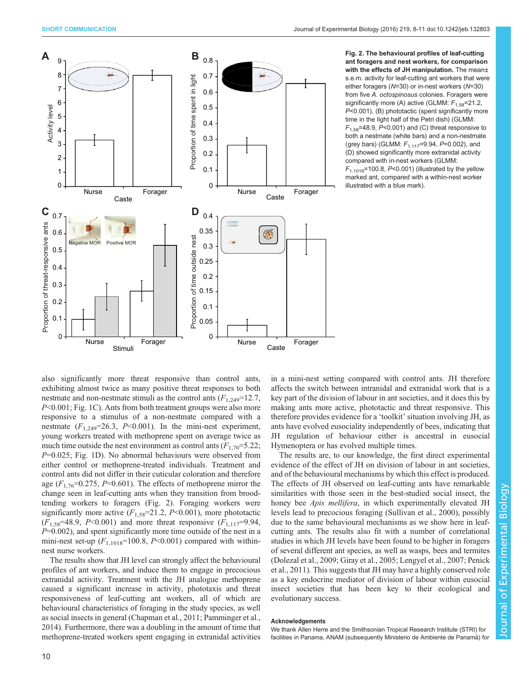

Fig. 2. The behavioural profiles of leaf-cutting ant foragers and nest workers, for comparison with the effects of JH manipulation. The mean± s.e.m. activity for leaf-cutting ant workers that were either foragers (N=30) or in-nest workers (N=30) from five A. octospinosus colonies. Foragers were significantly more (A) active (GLMM:  $F_{1,58}$ =21.2, P<0.001), (B) phototactic (spent significantly more time in the light half of the Petri dish) (GLMM:  $F_{1.58}$ =48.9, P<0.001) and (C) threat responsive to both a nestmate (white bars) and a non-nestmate (grey bars) (GLMM:  $F_{1,117} = 9.94$ ,  $P = 0.002$ ), and (D) showed significantly more extranidal activity compared with in-nest workers (GLMM:  $F_{1,1018}=100.8$ , P<0.001) (illustrated by the yellow marked ant, compared with a within-nest worker illustrated with a blue mark).

also significantly more threat responsive than control ants, exhibiting almost twice as many positive threat responses to both nestmate and non-nestmate stimuli as the control ants  $(F_{1,249}=12.7,$ P<0.001; [Fig. 1C](#page-1-0)). Ants from both treatment groups were also more responsive to a stimulus of a non-nestmate compared with a nestmate  $(F_{1,249}=26.3, P<0.001)$ . In the mini-nest experiment, young workers treated with methoprene spent on average twice as much time outside the nest environment as control ants  $(F_{1,70} = 5.22;$  $P=0.025$ ; [Fig. 1](#page-1-0)D). No abnormal behaviours were observed from either control or methoprene-treated individuals. Treatment and control ants did not differ in their cuticular coloration and therefore age  $(F_{1,76}=0.275, P=0.601)$ . The effects of methoprene mirror the change seen in leaf-cutting ants when they transition from broodtending workers to foragers (Fig. 2). Foraging workers were significantly more active  $(F_{1.58}=21.2, P<0.001)$ , more phototactic  $(F_{1.58} = 48.9, P \le 0.001)$  and more threat responsive  $(F_{1,117} = 9.94,$  $P=0.002$ ), and spent significantly more time outside of the nest in a mini-nest set-up  $(F_{1,1018}=100.8, P<0.001)$  compared with withinnest nurse workers.

The results show that JH level can strongly affect the behavioural profiles of ant workers, and induce them to engage in precocious extranidal activity. Treatment with the JH analogue methoprene caused a significant increase in activity, phototaxis and threat responsiveness of leaf-cutting ant workers, all of which are behavioural characteristics of foraging in the study species, as well as social insects in general ([Chapman et al., 2011](#page-3-0); [Pamminger et al.,](#page-3-0) [2014](#page-3-0)). Furthermore, there was a doubling in the amount of time that methoprene-treated workers spent engaging in extranidal activities in a mini-nest setting compared with control ants. JH therefore affects the switch between intranidal and extranidal work that is a key part of the division of labour in ant societies, and it does this by making ants more active, phototactic and threat responsive. This therefore provides evidence for a 'toolkit' situation involving JH, as ants have evolved eusociality independently of bees, indicating that JH regulation of behaviour either is ancestral in eusocial Hymenoptera or has evolved multiple times.

The results are, to our knowledge, the first direct experimental evidence of the effect of JH on division of labour in ant societies, and of the behavioural mechanisms by which this effect is produced. The effects of JH observed on leaf-cutting ants have remarkable similarities with those seen in the best-studied social insect, the honey bee *Apis mellifera*, in which experimentally elevated JH levels lead to precocious foraging ([Sullivan et al., 2000](#page-3-0)), possibly due to the same behavioural mechanisms as we show here in leafcutting ants. The results also fit with a number of correlational studies in which JH levels have been found to be higher in foragers of several different ant species, as well as wasps, bees and termites [\(Dolezal et al., 2009](#page-3-0); [Giray et al., 2005; Lengyel et al., 2007; Penick](#page-3-0) [et al., 2011\)](#page-3-0). This suggests that JH may have a highly conserved role as a key endocrine mediator of division of labour within eusocial insect societies that has been key to their ecological and evolutionary success.

#### Acknowledgements

We thank Allen Herre and the Smithsonian Tropical Research Institute (STRI) for facilities in Panama, ANAM (subsequently Ministerio de Ambiente de Panamá) for